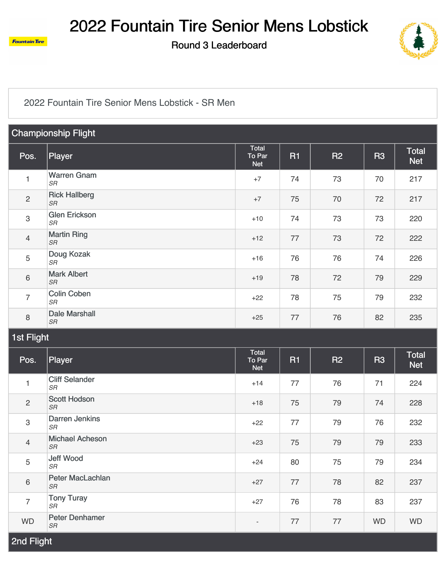

Round 3 Leaderboard



#### [2022 Fountain Tire Senior Mens Lobstick - SR Men](https://static.golfgenius.com/v2tournaments/2665328?called_from=&round_index=3)

| <b>Championship Flight</b> |                                              |                                      |           |           |                |                            |  |  |
|----------------------------|----------------------------------------------|--------------------------------------|-----------|-----------|----------------|----------------------------|--|--|
| Pos.                       | Player                                       | Total<br>To Par<br><b>Net</b>        | <b>R1</b> | R2        | R <sub>3</sub> | <b>Total</b><br><b>Net</b> |  |  |
| $\mathbf{1}$               | <b>Warren Gnam</b><br>$S\!R$                 | $+7$                                 | 74        | 73        | 70             | 217                        |  |  |
| $\mathbf{2}$               | <b>Rick Hallberg</b><br>$S\!R$               | $+7$                                 | 75        | 70        | 72             | 217                        |  |  |
| $\mathsf 3$                | <b>Glen Erickson</b><br>$S\!R$               | $+10$                                | 74        | 73        | 73             | 220                        |  |  |
| $\overline{4}$             | <b>Martin Ring</b><br>$S\!R$                 | $+12$                                | 77        | 73        | 72             | 222                        |  |  |
| 5                          | Doug Kozak<br>SR                             | $+16$                                | 76        | 76        | 74             | 226                        |  |  |
| 6                          | <b>Mark Albert</b><br>$S\!R$                 | $+19$                                | 78        | 72        | 79             | 229                        |  |  |
| $\overline{7}$             | <b>Colin Coben</b><br><b>SR</b>              | $+22$                                | 78        | 75        | 79             | 232                        |  |  |
| 8                          | <b>Dale Marshall</b><br><b>SR</b>            | $+25$                                | 77        | 76        | 82             | 235                        |  |  |
| <b>1st Flight</b>          |                                              |                                      |           |           |                |                            |  |  |
|                            |                                              |                                      |           |           |                |                            |  |  |
| Pos.                       | Player                                       | <b>Total</b><br>To Par<br><b>Net</b> | <b>R1</b> | <b>R2</b> | R <sub>3</sub> | <b>Total</b><br><b>Net</b> |  |  |
| $\mathbf{1}$               | <b>Cliff Selander</b><br>$S\!R$              | $+14$                                | 77        | 76        | 71             | 224                        |  |  |
| $\mathbf{2}$               | <b>Scott Hodson</b><br><b>SR</b>             | $+18$                                | 75        | 79        | 74             | 228                        |  |  |
| $\,3$                      | Darren Jenkins<br>$S\!R$                     | $+22$                                | 77        | 79        | 76             | 232                        |  |  |
| 4                          | <b>Michael Acheson</b><br>${\cal S}{\cal R}$ | $+23$                                | 75        | 79        | 79             | 233                        |  |  |
| 5                          | Jeff Wood<br>$S\!R$                          | $+24$                                | 80        | 75        | 79             | 234                        |  |  |
| 6                          | Peter MacLachlan<br>SR                       | $+27$                                | 77        | 78        | 82             | 237                        |  |  |
| $\overline{7}$             | <b>Tony Turay</b><br>SR                      | $+27$                                | 76        | 78        | 83             | 237                        |  |  |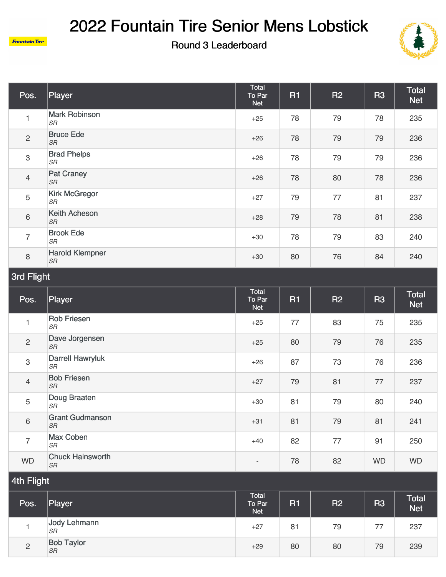

**Fountain Tire** 

Round 3 Leaderboard



| Pos.           | Player                              | Total<br>To Par<br><b>Net</b> | <b>R1</b> | <b>R2</b> | <b>R3</b> | <b>Total</b><br><b>Net</b> |
|----------------|-------------------------------------|-------------------------------|-----------|-----------|-----------|----------------------------|
|                | <b>Mark Robinson</b><br>SR          | $+25$                         | 78        | 79        | 78        | 235                        |
| $\overline{2}$ | <b>Bruce Ede</b><br>SR              | $+26$                         | 78        | 79        | 79        | 236                        |
| $\mathbf{3}$   | <b>Brad Phelps</b><br>SR            | $+26$                         | 78        | 79        | 79        | 236                        |
| $\overline{4}$ | <b>Pat Craney</b><br><b>SR</b>      | $+26$                         | 78        | 80        | 78        | 236                        |
| 5              | <b>Kirk McGregor</b><br>SR          | $+27$                         | 79        | 77        | 81        | 237                        |
| 6              | <b>Keith Acheson</b><br>SR          | $+28$                         | 79        | 78        | 81        | 238                        |
| $\overline{7}$ | <b>Brook Ede</b><br>SR              | $+30$                         | 78        | 79        | 83        | 240                        |
| 8              | <b>Harold Klempner</b><br><b>SR</b> | $+30$                         | 80        | 76        | 84        | 240                        |

## 3rd Flight

| Pos.           | <b>Player</b>                       | Total<br>To Par<br><b>Net</b> | <b>R1</b> | <b>R2</b> | <b>R3</b> | <b>Total</b><br><b>Net</b> |
|----------------|-------------------------------------|-------------------------------|-----------|-----------|-----------|----------------------------|
| 1              | <b>Rob Friesen</b><br>SR            | $+25$                         | 77        | 83        | 75        | 235                        |
| $\overline{2}$ | Dave Jorgensen<br><b>SR</b>         | $+25$                         | 80        | 79        | 76        | 235                        |
| $\mathsf 3$    | <b>Darrell Hawryluk</b><br>SR       | $+26$                         | 87        | 73        | 76        | 236                        |
| $\overline{4}$ | <b>Bob Friesen</b><br><b>SR</b>     | $+27$                         | 79        | 81        | 77        | 237                        |
| 5              | Doug Braaten<br>SR                  | $+30$                         | 81        | 79        | 80        | 240                        |
| $\,6\,$        | <b>Grant Gudmanson</b><br><b>SR</b> | $+31$                         | 81        | 79        | 81        | 241                        |
| $\overline{7}$ | <b>Max Coben</b><br>SR              | $+40$                         | 82        | 77        | 91        | 250                        |
| <b>WD</b>      | <b>Chuck Hainsworth</b><br>SR       | $\overline{\phantom{a}}$      | 78        | 82        | <b>WD</b> | <b>WD</b>                  |

| Pos.           | Player                         | Total<br>To Par<br>Net <sup>1</sup> | <b>R1</b> | <b>R2</b> | <b>R3</b> | <b>Total</b><br>Net <sup>1</sup> |
|----------------|--------------------------------|-------------------------------------|-----------|-----------|-----------|----------------------------------|
|                | Jody Lehmann<br><b>SR</b>      | $+27$                               | 81        | 79        | 77        | 237                              |
| $\overline{2}$ | <b>Bob Taylor</b><br><b>SR</b> | $+29$                               | 80        | 80        | 79        | 239                              |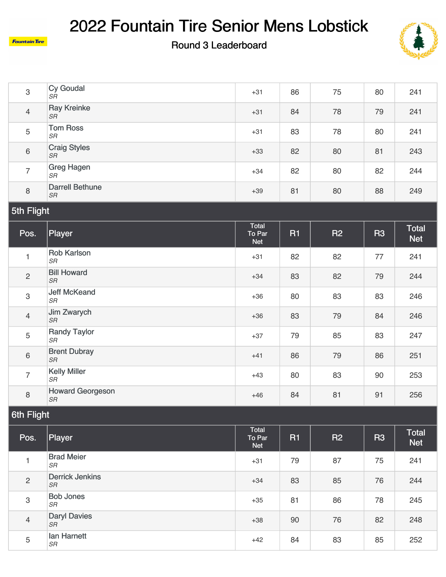

#### Round 3 Leaderboard



| 3              | Cy Goudal<br>SR                     | $+31$                         | 86        | 75        | 80        | 241                        |  |  |
|----------------|-------------------------------------|-------------------------------|-----------|-----------|-----------|----------------------------|--|--|
| $\overline{4}$ | <b>Ray Kreinke</b><br><b>SR</b>     | $+31$                         | 84        | 78        | 79        | 241                        |  |  |
| 5              | <b>Tom Ross</b><br><b>SR</b>        | $+31$                         | 83        | 78        | 80        | 241                        |  |  |
| $\,6\,$        | <b>Craig Styles</b><br><b>SR</b>    | $+33$                         | 82        | 80        | 81        | 243                        |  |  |
| $\overline{7}$ | <b>Greg Hagen</b><br><b>SR</b>      | $+34$                         | 82        | 80        | 82        | 244                        |  |  |
| $\,8\,$        | <b>Darrell Bethune</b><br><b>SR</b> | $+39$                         | 81        | 80        | 88        | 249                        |  |  |
| 5th Flight     |                                     |                               |           |           |           |                            |  |  |
| Pos.           | Player                              | Total<br>To Par<br><b>Net</b> | <b>R1</b> | <b>R2</b> | <b>R3</b> | <b>Total</b><br><b>Net</b> |  |  |
|                |                                     |                               |           |           |           |                            |  |  |
| $\mathbf{1}$   | Rob Karlson<br><b>SR</b>            | $+31$                         | 82        | 82        | 77        | 241                        |  |  |
| $\overline{c}$ | <b>Bill Howard</b><br><b>SR</b>     | $+34$                         | 83        | 82        | 79        | 244                        |  |  |
| 3              | <b>Jeff McKeand</b><br>$S\!R$       | $+36$                         | 80        | 83        | 83        | 246                        |  |  |
| $\overline{4}$ | Jim Zwarych<br>$S\!R$               | $+36$                         | 83        | 79        | 84        | 246                        |  |  |
| $\sqrt{5}$     | <b>Randy Taylor</b><br><b>SR</b>    | $+37$                         | 79        | 85        | 83        | 247                        |  |  |
| $\,6\,$        | <b>Brent Dubray</b><br><b>SR</b>    | $+41$                         | 86        | 79        | 86        | 251                        |  |  |
| $\overline{7}$ | <b>Kelly Miller</b><br>SR           | $+43$                         | 80        | 83        | 90        | 253                        |  |  |

### 6th Flight

**Fountain Tire** 

| Pos.           | Player                              | Total<br>To Par<br><b>Net</b> | <b>R1</b> | <b>R2</b> | <b>R3</b> | <b>Total</b><br><b>Net</b> |  |
|----------------|-------------------------------------|-------------------------------|-----------|-----------|-----------|----------------------------|--|
|                | <b>Brad Meier</b><br><b>SR</b>      | $+31$                         | 79        | 87        | 75        | 241                        |  |
| $\overline{c}$ | <b>Derrick Jenkins</b><br><b>SR</b> | $+34$                         | 83        | 85        | 76        | 244                        |  |
| 3              | <b>Bob Jones</b><br><b>SR</b>       | $+35$                         | 81        | 86        | 78        | 245                        |  |
| $\overline{4}$ | <b>Daryl Davies</b><br><b>SR</b>    | $+38$                         | 90        | 76        | 82        | 248                        |  |
| 5              | lan Harnett<br><b>SR</b>            | $+42$                         | 84        | 83        | 85        | 252                        |  |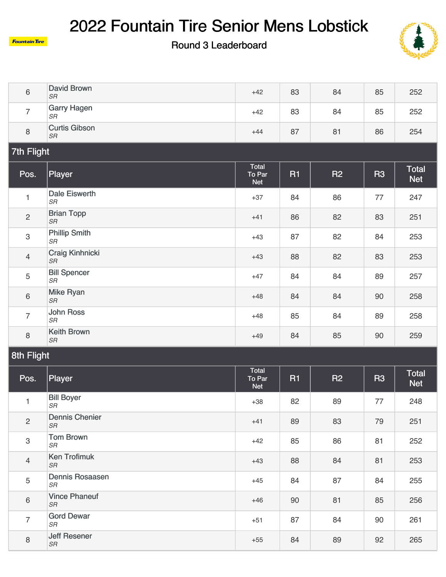

Round 3 Leaderboard



| 6 | David Brown<br><b>SR</b>          | $+42$ | 83 | 84 | 85 | 252 |
|---|-----------------------------------|-------|----|----|----|-----|
|   | <b>Garry Hagen</b><br><b>SR</b>   | $+42$ | 83 | 84 | 85 | 252 |
| 8 | <b>Curtis Gibson</b><br><b>SR</b> | $+44$ | 87 | 81 | 86 | 254 |

## 7th Flight

| Pos.           | Player                            | Total<br>To Par<br><b>Net</b> | <b>R1</b> | <b>R2</b> | <b>R3</b> | <b>Total</b><br><b>Net</b> |
|----------------|-----------------------------------|-------------------------------|-----------|-----------|-----------|----------------------------|
| 1              | <b>Dale Eiswerth</b><br><b>SR</b> | $+37$                         | 84        | 86        | 77        | 247                        |
| $\overline{2}$ | <b>Brian Topp</b><br>SR           | $+41$                         | 86        | 82        | 83        | 251                        |
| $\mathsf 3$    | <b>Phillip Smith</b><br>SR        | $+43$                         | 87        | 82        | 84        | 253                        |
| $\overline{4}$ | <b>Craig Kinhnicki</b><br>$S\!R$  | $+43$                         | 88        | 82        | 83        | 253                        |
| 5              | <b>Bill Spencer</b><br>SR         | $+47$                         | 84        | 84        | 89        | 257                        |
| $6\,$          | <b>Mike Ryan</b><br>SR            | $+48$                         | 84        | 84        | 90        | 258                        |
| $\overline{7}$ | John Ross<br>$S\!R$               | $+48$                         | 85        | 84        | 89        | 258                        |
| 8              | <b>Keith Brown</b><br>$S\!R$      | $+49$                         | 84        | 85        | 90        | 259                        |

| Pos.           | Player                             | Total<br>To Par<br><b>Net</b> | <b>R1</b> | <b>R2</b> | <b>R3</b> | <b>Total</b><br><b>Net</b> |
|----------------|------------------------------------|-------------------------------|-----------|-----------|-----------|----------------------------|
| 1              | <b>Bill Boyer</b><br>SR            | $+38$                         | 82        | 89        | 77        | 248                        |
| $\overline{2}$ | <b>Dennis Chenier</b><br><b>SR</b> | $+41$                         | 89        | 83        | 79        | 251                        |
| 3              | <b>Tom Brown</b><br>SR             | $+42$                         | 85        | 86        | 81        | 252                        |
| $\overline{4}$ | <b>Ken Trofimuk</b><br>SR          | $+43$                         | 88        | 84        | 81        | 253                        |
| 5              | Dennis Rosaasen<br>SR              | $+45$                         | 84        | 87        | 84        | 255                        |
| $6\,$          | <b>Vince Phaneuf</b><br>SR         | $+46$                         | 90        | 81        | 85        | 256                        |
| $\overline{7}$ | <b>Gord Dewar</b><br><b>SR</b>     | $+51$                         | 87        | 84        | 90        | 261                        |
| 8              | <b>Jeff Resener</b><br>SR          | $+55$                         | 84        | 89        | 92        | 265                        |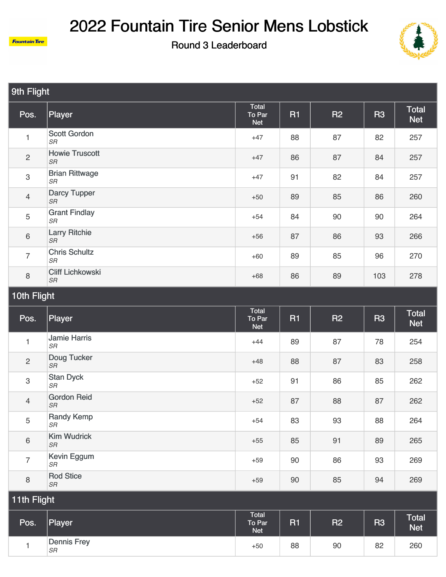





| 9th Flight     |                                   |                               |           |                |           |                     |  |  |
|----------------|-----------------------------------|-------------------------------|-----------|----------------|-----------|---------------------|--|--|
| Pos.           | <b>Player</b>                     | Total<br>To Par<br><b>Net</b> | <b>R1</b> | R <sub>2</sub> | <b>R3</b> | Total<br><b>Net</b> |  |  |
| 1              | <b>Scott Gordon</b><br>SR         | $+47$                         | 88        | 87             | 82        | 257                 |  |  |
| $\overline{2}$ | <b>Howie Truscott</b><br>SR       | $+47$                         | 86        | 87             | 84        | 257                 |  |  |
| 3              | <b>Brian Rittwage</b><br>SR       | $+47$                         | 91        | 82             | 84        | 257                 |  |  |
| $\overline{4}$ | <b>Darcy Tupper</b><br>SR         | $+50$                         | 89        | 85             | 86        | 260                 |  |  |
| 5              | <b>Grant Findlay</b><br>SR        | $+54$                         | 84        | 90             | 90        | 264                 |  |  |
| $\,6\,$        | <b>Larry Ritchie</b><br>SR        | $+56$                         | 87        | 86             | 93        | 266                 |  |  |
| $\overline{7}$ | <b>Chris Schultz</b><br>SR        | $+60$                         | 89        | 85             | 96        | 270                 |  |  |
| 8              | <b>Cliff Lichkowski</b><br>$S\!R$ | $+68$                         | 86        | 89             | 103       | 278                 |  |  |

| Pos.           | Player                    | Total<br>To Par<br><b>Net</b> | <b>R1</b> | <b>R2</b> | <b>R3</b> | <b>Total</b><br><b>Net</b> |
|----------------|---------------------------|-------------------------------|-----------|-----------|-----------|----------------------------|
| $\mathbf{1}$   | <b>Jamie Harris</b><br>SR | $+44$                         | 89        | 87        | 78        | 254                        |
| $\overline{c}$ | Doug Tucker<br>SR         | $+48$                         | 88        | 87        | 83        | 258                        |
| $\mathbf{3}$   | <b>Stan Dyck</b><br>SR    | $+52$                         | 91        | 86        | 85        | 262                        |
| $\overline{4}$ | <b>Gordon Reid</b><br>SR  | $+52$                         | 87        | 88        | 87        | 262                        |
| 5              | <b>Randy Kemp</b><br>SR   | $+54$                         | 83        | 93        | 88        | 264                        |
| $6\,$          | <b>Kim Wudrick</b><br>SR  | $+55$                         | 85        | 91        | 89        | 265                        |
| $\overline{7}$ | Kevin Eggum<br>SR         | $+59$                         | 90        | 86        | 93        | 269                        |
| 8              | <b>Rod Stice</b><br>SR    | $+59$                         | 90        | 85        | 94        | 269                        |
| 11th Flight    |                           |                               |           |           |           |                            |

| . .  |                          |                                            |    |                |           |                     |
|------|--------------------------|--------------------------------------------|----|----------------|-----------|---------------------|
| Pos. | Player                   | <b>Total</b><br>To Par<br>Net <sup>1</sup> | R1 | R <sub>2</sub> | <b>R3</b> | Total<br><b>Net</b> |
|      | Dennis Frey<br><b>SR</b> | $+50$                                      | 88 | 90             | 82        | 260                 |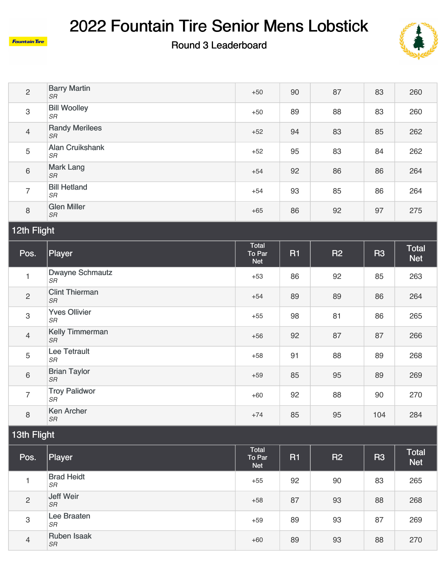

**Fountain Tire** 

### Round 3 Leaderboard



| $\overline{2}$ | <b>Barry Martin</b><br><b>SR</b>   | $+50$                         | 90        | 87 | 83             | 260                        |  |  |
|----------------|------------------------------------|-------------------------------|-----------|----|----------------|----------------------------|--|--|
| $\,3$          | <b>Bill Woolley</b><br>$S\!R$      | $+50$                         | 89        | 88 | 83             | 260                        |  |  |
| $\overline{4}$ | <b>Randy Merilees</b><br>SR        | $+52$                         | 94        | 83 | 85             | 262                        |  |  |
| 5              | <b>Alan Cruikshank</b><br>$S\!R$   | $+52$                         | 95        | 83 | 84             | 262                        |  |  |
| $6\,$          | <b>Mark Lang</b><br><b>SR</b>      | $+54$                         | 92        | 86 | 86             | 264                        |  |  |
| $\overline{7}$ | <b>Bill Hetland</b><br>$S\!R$      | $+54$                         | 93        | 85 | 86             | 264                        |  |  |
| $\,8\,$        | <b>Glen Miller</b><br><b>SR</b>    | $+65$                         | 86        | 92 | 97             | 275                        |  |  |
| 12th Flight    |                                    |                               |           |    |                |                            |  |  |
|                |                                    |                               |           |    |                |                            |  |  |
| Pos.           | Player                             | Total<br>To Par<br><b>Net</b> | <b>R1</b> | R2 | R <sub>3</sub> | <b>Total</b><br><b>Net</b> |  |  |
| $\mathbf{1}$   | <b>Dwayne Schmautz</b><br>SR       | $+53$                         | 86        | 92 | 85             | 263                        |  |  |
| $\mathbf{2}$   | <b>Clint Thierman</b><br><b>SR</b> | $+54$                         | 89        | 89 | 86             | 264                        |  |  |
| 3              | <b>Yves Ollivier</b><br>$S\!R$     | $+55$                         | 98        | 81 | 86             | 265                        |  |  |
| $\overline{4}$ | <b>Kelly Timmerman</b><br>SR       | $+56$                         | 92        | 87 | 87             | 266                        |  |  |
| 5              | Lee Tetrault<br>SR                 | $+58$                         | 91        | 88 | 89             | 268                        |  |  |
| $6\,$          | <b>Brian Taylor</b><br>$S\!R$      | $+59$                         | 85        | 95 | 89             | 269                        |  |  |

[Ken Archer](https://static.golfgenius.com/tournaments2/details/1121848850)<br>SR **SR** 85 95 104 284 13th Flight

8

| Pos.                      | Player                          | Total<br>To Par<br><b>Net</b> | <b>R1</b> | <b>R2</b> | <b>R3</b> | <b>Total</b><br><b>Net</b> |  |  |
|---------------------------|---------------------------------|-------------------------------|-----------|-----------|-----------|----------------------------|--|--|
|                           | <b>Brad Heidt</b><br><b>SR</b>  | $+55$                         | 92        | 90        | 83        | 265                        |  |  |
| 2                         | Jeff Weir<br><b>SR</b>          | $+58$                         | 87        | 93        | 88        | 268                        |  |  |
| $\ensuremath{\mathsf{3}}$ | Lee Braaten<br><b>SR</b>        | $+59$                         | 89        | 93        | 87        | 269                        |  |  |
| $\overline{4}$            | <b>Ruben Isaak</b><br><b>SR</b> | $+60$                         | 89        | 93        | 88        | 270                        |  |  |

+74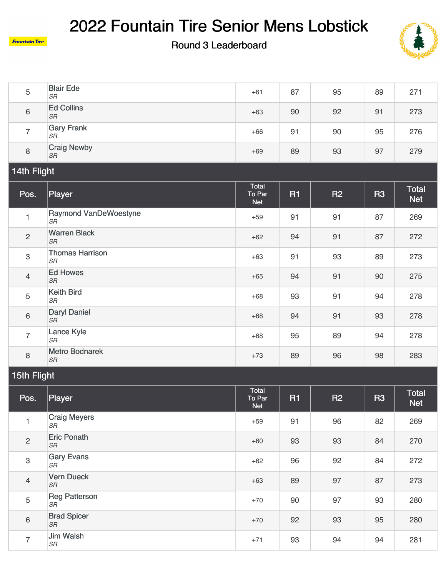

**Fountain Tire** 

5

6

7

[Reg Patterson](https://static.golfgenius.com/tournaments2/details/1121848760)<br>SR

**[Brad Spicer](https://static.golfgenius.com/tournaments2/details/1121848835)**<br>SR

[Jim Walsh](https://static.golfgenius.com/tournaments2/details/1121848710)

#### Round 3 Leaderboard



| 5                         | <b>Blair Ede</b><br><b>SR</b>       | $+61$                                | 87        | 95             | 89             | 271                        |  |  |  |
|---------------------------|-------------------------------------|--------------------------------------|-----------|----------------|----------------|----------------------------|--|--|--|
| $\,6\,$                   | <b>Ed Collins</b><br><b>SR</b>      | $+63$                                | 90        | 92             | 91             | 273                        |  |  |  |
| $\overline{7}$            | <b>Gary Frank</b><br><b>SR</b>      | $+66$                                | 91        | 90             | 95             | 276                        |  |  |  |
| $\,8\,$                   | <b>Craig Newby</b><br><b>SR</b>     | $+69$                                | 89        | 93             | 97             | 279                        |  |  |  |
| 14th Flight               |                                     |                                      |           |                |                |                            |  |  |  |
| Pos.                      | Player                              | Total<br>To Par<br><b>Net</b>        | <b>R1</b> | R <sub>2</sub> | R <sub>3</sub> | <b>Total</b><br><b>Net</b> |  |  |  |
| $\mathbf{1}$              | <b>Raymond VanDeWoestyne</b><br>SR  | $+59$                                | 91        | 91             | 87             | 269                        |  |  |  |
| $\overline{c}$            | <b>Warren Black</b><br><b>SR</b>    | $+62$                                | 94        | 91             | 87             | 272                        |  |  |  |
| $\ensuremath{\mathsf{3}}$ | <b>Thomas Harrison</b><br><b>SR</b> | $+63$                                | 91        | 93             | 89             | 273                        |  |  |  |
| $\overline{4}$            | <b>Ed Howes</b><br><b>SR</b>        | $+65$                                | 94        | 91             | 90             | 275                        |  |  |  |
| $\sqrt{5}$                | <b>Keith Bird</b><br><b>SR</b>      | $+68$                                | 93        | 91             | 94             | 278                        |  |  |  |
| $\,6\,$                   | <b>Daryl Daniel</b><br><b>SR</b>    | $+68$                                | 94        | 91             | 93             | 278                        |  |  |  |
| $\overline{7}$            | Lance Kyle<br><b>SR</b>             | $+68$                                | 95        | 89             | 94             | 278                        |  |  |  |
| $\,8\,$                   | <b>Metro Bodnarek</b><br><b>SR</b>  | $+73$                                | 89        | 96             | 98             | 283                        |  |  |  |
| 15th Flight               |                                     |                                      |           |                |                |                            |  |  |  |
| Pos.                      | Player                              | <b>Total</b><br>To Par<br><b>Net</b> | <b>R1</b> | R2             | <b>R3</b>      | <b>Total</b><br><b>Net</b> |  |  |  |
| 1                         | <b>Craig Meyers</b><br>SR           | $+59$                                | 91        | 96             | 82             | 269                        |  |  |  |
| $\mathbf{2}$              | <b>Eric Ponath</b><br>$S\!R$        | $+60$                                | 93        | 93             | 84             | 270                        |  |  |  |
| $\ensuremath{\mathsf{3}}$ | <b>Gary Evans</b><br>SR             | $+62$                                | 96        | 92             | 84             | 272                        |  |  |  |
| $\overline{4}$            | <b>Vern Dueck</b><br>$S\!R$         | $+63$                                | 89        | 97             | 87             | 273                        |  |  |  |

*SR* 93 280

+70

+70

+71

*SR* 93 95 280

*SR* 94 94 281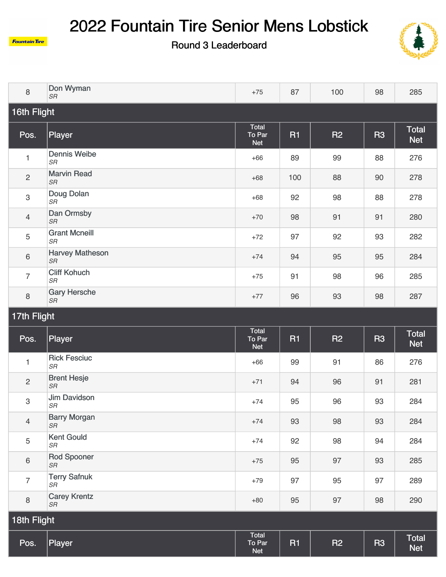



| 8              | Don Wyman<br><b>SR</b>              | $+75$                         | 87        | 100            | 98             | 285                        |  |  |
|----------------|-------------------------------------|-------------------------------|-----------|----------------|----------------|----------------------------|--|--|
| 16th Flight    |                                     |                               |           |                |                |                            |  |  |
| Pos.           | Player                              | Total<br>To Par<br><b>Net</b> | <b>R1</b> | R2             | R <sub>3</sub> | <b>Total</b><br><b>Net</b> |  |  |
| $\mathbf{1}$   | <b>Dennis Weibe</b><br><b>SR</b>    | $+66$                         | 89        | 99             | 88             | 276                        |  |  |
| $\mathbf{2}$   | <b>Marvin Read</b><br>$S\!R$        | $+68$                         | 100       | 88             | 90             | 278                        |  |  |
| 3              | Doug Dolan<br>$S\!R$                | $+68$                         | 92        | 98             | 88             | 278                        |  |  |
| $\overline{4}$ | Dan Ormsby<br>$S\!R$                | $+70$                         | 98        | 91             | 91             | 280                        |  |  |
| 5              | <b>Grant Mcneill</b><br>$S\!R$      | $+72$                         | 97        | 92             | 93             | 282                        |  |  |
| 6              | <b>Harvey Matheson</b><br>$S\!R$    | $+74$                         | 94        | 95             | 95             | 284                        |  |  |
| $\overline{7}$ | <b>Cliff Kohuch</b><br>$S\!R$       | $+75$                         | 91        | 98             | 96             | 285                        |  |  |
| 8              | <b>Gary Hersche</b><br>SR           | $+77$                         | 96        | 93             | 98             | 287                        |  |  |
| 17th Flight    |                                     |                               |           |                |                |                            |  |  |
| Pos.           | Player                              | Total<br>To Par<br><b>Net</b> | <b>R1</b> | <b>R2</b>      | R <sub>3</sub> | <b>Total</b><br><b>Net</b> |  |  |
| $\mathbf{1}$   | <b>Rick Fesciuc</b><br><b>SR</b>    | $+66$                         | 99        | 91             | 86             | 276                        |  |  |
| $\mathbf{2}$   | <b>Brent Hesje</b><br>$S\!R$        | $+71$                         | 94        | 96             | 91             | 281                        |  |  |
| 3              | <b>Jim Davidson</b><br>SR           | $+74$                         | 95        | 96             | 93             | 284                        |  |  |
| $\overline{4}$ | <b>Barry Morgan</b><br><b>SR</b>    | $+74$                         | 93        | 98             | 93             | 284                        |  |  |
| 5              | <b>Kent Gould</b><br>$S\!R$         | $+74$                         | 92        | 98             | 94             | 284                        |  |  |
| $\,6\,$        | <b>Rod Spooner</b><br>${\cal S\!R}$ | $+75$                         | 95        | 97             | 93             | 285                        |  |  |
| $\overline{7}$ | <b>Terry Safnuk</b><br>$S\!R$       | $+79$                         | 97        | 95             | 97             | 289                        |  |  |
| $\,8\,$        | <b>Carey Krentz</b><br>SR           | $+80$                         | 95        | 97             | 98             | 290                        |  |  |
| 18th Flight    |                                     |                               |           |                |                |                            |  |  |
| Pos.           | Player                              | Total<br>To Par<br><b>Net</b> | R1        | R <sub>2</sub> | R <sub>3</sub> | <b>Total</b><br><b>Net</b> |  |  |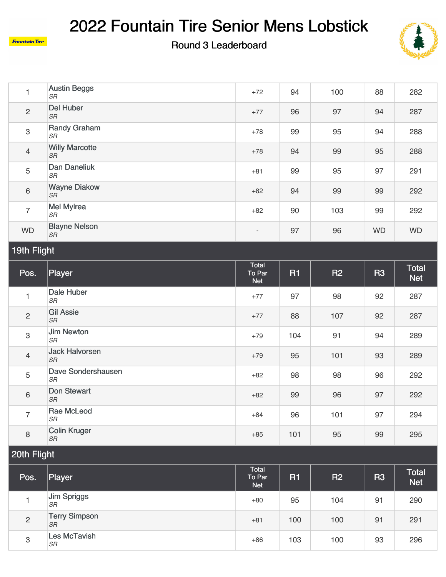

Round 3 Leaderboard



|                | <b>Austin Beggs</b><br>SR          | $+72$                    | 94 | 100 | 88        | 282       |
|----------------|------------------------------------|--------------------------|----|-----|-----------|-----------|
| $\overline{2}$ | <b>Del Huber</b><br>SR             | $+77$                    | 96 | 97  | 94        | 287       |
| $\mathbf{3}$   | <b>Randy Graham</b><br>SR          | $+78$                    | 99 | 95  | 94        | 288       |
| $\overline{4}$ | <b>Willy Marcotte</b><br><b>SR</b> | $+78$                    | 94 | 99  | 95        | 288       |
| 5              | <b>Dan Daneliuk</b><br>SR          | $+81$                    | 99 | 95  | 97        | 291       |
| $6\phantom{1}$ | <b>Wayne Diakow</b><br><b>SR</b>   | $+82$                    | 94 | 99  | 99        | 292       |
| $\overline{7}$ | <b>Mel Mylrea</b><br>SR            | $+82$                    | 90 | 103 | 99        | 292       |
| <b>WD</b>      | <b>Blayne Nelson</b><br>SR         | $\overline{\phantom{a}}$ | 97 | 96  | <b>WD</b> | <b>WD</b> |

## 19th Flight

**Fountain Tire** 

| Pos.           | <b>Player</b>                      | Total<br>To Par<br><b>Net</b> | <b>R1</b> | <b>R2</b> | <b>R3</b> | <b>Total</b><br><b>Net</b> |
|----------------|------------------------------------|-------------------------------|-----------|-----------|-----------|----------------------------|
| $\mathbf{1}$   | Dale Huber<br><b>SR</b>            | $+77$                         | 97        | 98        | 92        | 287                        |
| $\overline{c}$ | <b>Gil Assie</b><br><b>SR</b>      | $+77$                         | 88        | 107       | 92        | 287                        |
| 3              | <b>Jim Newton</b><br><b>SR</b>     | $+79$                         | 104       | 91        | 94        | 289                        |
| $\overline{4}$ | <b>Jack Halvorsen</b><br><b>SR</b> | $+79$                         | 95        | 101       | 93        | 289                        |
| 5              | Dave Sondershausen<br>SR           | $+82$                         | 98        | 98        | 96        | 292                        |
| 6              | <b>Don Stewart</b><br><b>SR</b>    | $+82$                         | 99        | 96        | 97        | 292                        |
| $\overline{7}$ | Rae McLeod<br><b>SR</b>            | $+84$                         | 96        | 101       | 97        | 294                        |
| 8              | <b>Colin Kruger</b><br>SR          | $+85$                         | 101       | 95        | 99        | 295                        |

| Pos.           | Player                            | Total<br>To Par<br><b>Net</b> | R <sub>1</sub> | <b>R2</b> | <b>R3</b> | <b>Total</b><br><b>Net</b> |
|----------------|-----------------------------------|-------------------------------|----------------|-----------|-----------|----------------------------|
|                | Jim Spriggs<br><b>SR</b>          | $+80$                         | 95             | 104       | 91        | 290                        |
| $\overline{2}$ | <b>Terry Simpson</b><br><b>SR</b> | $+81$                         | 100            | 100       | 91        | 291                        |
| 3              | <b>Les McTavish</b><br><b>SR</b>  | $+86$                         | 103            | 100       | 93        | 296                        |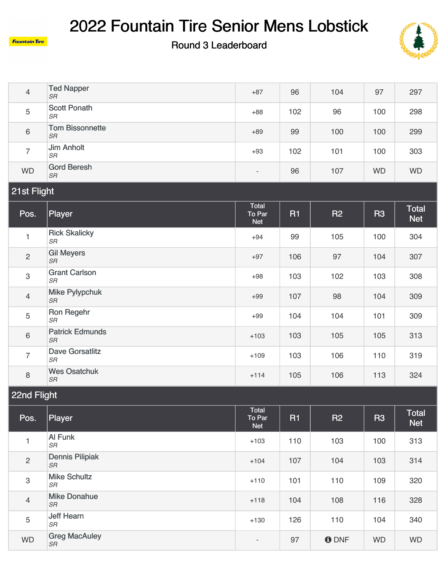

#### Round 3 Leaderboard



| $\overline{4}$ | <b>Ted Napper</b><br><b>SR</b>    | $+87$                         | 96        | 104       | 97        | 297                        |  |  |  |
|----------------|-----------------------------------|-------------------------------|-----------|-----------|-----------|----------------------------|--|--|--|
| 5              | <b>Scott Ponath</b><br>SR         | $+88$                         | 102       | 96        | 100       | 298                        |  |  |  |
| $\,6\,$        | <b>Tom Bissonnette</b><br>SR      | $+89$                         | 99        | 100       | 100       | 299                        |  |  |  |
| $\overline{7}$ | <b>Jim Anholt</b><br>$S\!R$       | $+93$                         | 102       | 101       | 100       | 303                        |  |  |  |
| <b>WD</b>      | <b>Gord Beresh</b><br>SR          | $\overline{\phantom{a}}$      | 96        | 107       | <b>WD</b> | <b>WD</b>                  |  |  |  |
| 21st Flight    |                                   |                               |           |           |           |                            |  |  |  |
|                |                                   |                               |           |           |           |                            |  |  |  |
| Pos.           | Player                            | Total<br>To Par<br><b>Net</b> | <b>R1</b> | <b>R2</b> | <b>R3</b> | <b>Total</b><br><b>Net</b> |  |  |  |
| 1              | <b>Rick Skalicky</b><br><b>SR</b> | $+94$                         | 99        | 105       | 100       | 304                        |  |  |  |
| $\overline{c}$ | <b>Gil Meyers</b><br>$S\!R$       | $+97$                         | 106       | 97        | 104       | 307                        |  |  |  |
| $\mathfrak{S}$ | <b>Grant Carlson</b><br>SR        | $+98$                         | 103       | 102       | 103       | 308                        |  |  |  |

|   | ، اب                                |        |     |     |     |     |
|---|-------------------------------------|--------|-----|-----|-----|-----|
| 4 | Mike Pylypchuk<br><b>SR</b>         | $+99$  | 107 | 98  | 104 | 309 |
| 5 | Ron Regehr<br><b>SR</b>             | $+99$  | 104 | 104 | 101 | 309 |
| 6 | <b>Patrick Edmunds</b><br><b>SR</b> | $+103$ | 103 | 105 | 105 | 313 |
| ⇁ | <b>Dave Gorsatlitz</b><br><b>SR</b> | $+109$ | 103 | 106 | 110 | 319 |
| 8 | <b>Wes Osatchuk</b><br><b>SR</b>    | $+114$ | 105 | 106 | 113 | 324 |

### 22nd Flight

| Pos.           | <b>Player</b>                       | Total<br>To Par<br><b>Net</b> | <b>R1</b> | <b>R2</b>    | <b>R3</b> | Total<br><b>Net</b> |
|----------------|-------------------------------------|-------------------------------|-----------|--------------|-----------|---------------------|
| $\overline{4}$ | Al Funk<br><b>SR</b>                | $+103$                        | 110       | 103          | 100       | 313                 |
| $\overline{2}$ | <b>Dennis Pilipiak</b><br><b>SR</b> | $+104$                        | 107       | 104          | 103       | 314                 |
| 3              | <b>Mike Schultz</b><br><b>SR</b>    | $+110$                        | 101       | 110          | 109       | 320                 |
| $\overline{4}$ | <b>Mike Donahue</b><br><b>SR</b>    | $+118$                        | 104       | 108          | 116       | 328                 |
| 5              | Jeff Hearn<br><b>SR</b>             | $+130$                        | 126       | 110          | 104       | 340                 |
| <b>WD</b>      | <b>Greg MacAuley</b><br><b>SR</b>   | $\overline{\phantom{a}}$      | 97        | <b>O</b> DNF | <b>WD</b> | <b>WD</b>           |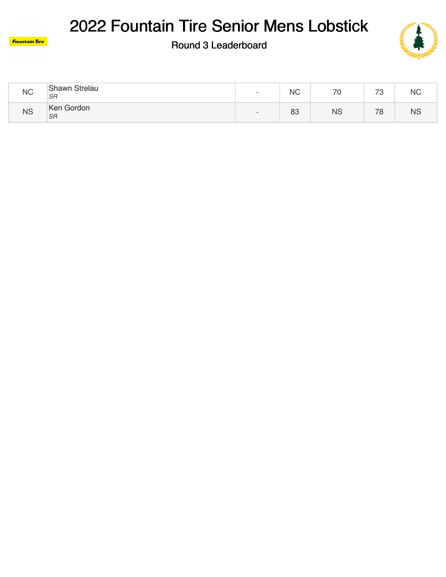



| <b>NC</b> | <b>Shawn Strelau</b><br><b>SR</b> | $\overline{\phantom{0}}$ | <b>NC</b> | 70        | 70<br>ບ          | <b>NC</b> |
|-----------|-----------------------------------|--------------------------|-----------|-----------|------------------|-----------|
| <b>NS</b> | Ken Gordon<br><b>SR</b>           | $\overline{\phantom{0}}$ | 83        | <b>NS</b> | 70<br>$^{\circ}$ | ΝS        |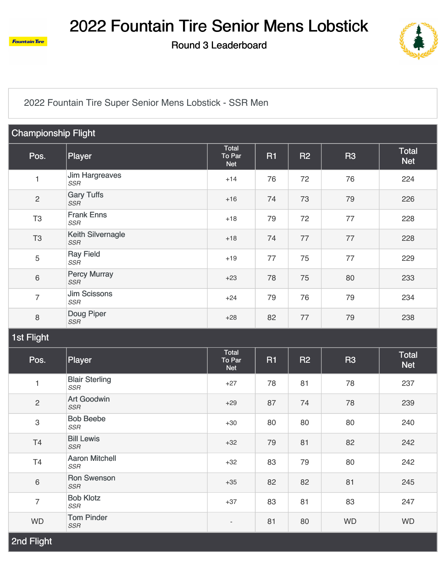

Round 3 Leaderboard



[2022 Fountain Tire Super Senior Mens Lobstick - SSR Men](https://static.golfgenius.com/v2tournaments/2665332?called_from=&round_index=3)

| <b>Championship Flight</b> |                                     |                                      |           |    |           |                            |  |
|----------------------------|-------------------------------------|--------------------------------------|-----------|----|-----------|----------------------------|--|
| Pos.                       | Player                              | <b>Total</b><br>To Par<br><b>Net</b> | <b>R1</b> | R2 | <b>R3</b> | <b>Total</b><br><b>Net</b> |  |
| 1                          | <b>Jim Hargreaves</b><br>SSR        | $+14$                                | 76        | 72 | 76        | 224                        |  |
| $\sqrt{2}$                 | <b>Gary Tuffs</b><br><b>SSR</b>     | $+16$                                | 74        | 73 | 79        | 226                        |  |
| T <sub>3</sub>             | <b>Frank Enns</b><br><b>SSR</b>     | $+18$                                | 79        | 72 | 77        | 228                        |  |
| T <sub>3</sub>             | Keith Silvernagle<br><b>SSR</b>     | $+18$                                | 74        | 77 | 77        | 228                        |  |
| $\sqrt{5}$                 | <b>Ray Field</b><br>SSR             | $+19$                                | 77        | 75 | 77        | 229                        |  |
| $\,6\,$                    | <b>Percy Murray</b><br><b>SSR</b>   | $+23$                                | 78        | 75 | 80        | 233                        |  |
| $\overline{7}$             | <b>Jim Scissons</b><br><b>SSR</b>   | $+24$                                | 79        | 76 | 79        | 234                        |  |
| $\,8\,$                    | Doug Piper<br><b>SSR</b>            | $+28$                                | 82        | 77 | 79        | 238                        |  |
| <b>1st Flight</b>          |                                     |                                      |           |    |           |                            |  |
| Pos.                       | Player                              | Total<br>To Par<br><b>Net</b>        | <b>R1</b> | R2 | <b>R3</b> | <b>Total</b><br><b>Net</b> |  |
| 1                          | <b>Blair Sterling</b><br><b>SSR</b> | $+27$                                | 78        | 81 | 78        | 237                        |  |
| $\sqrt{2}$                 | <b>Art Goodwin</b><br><b>SSR</b>    | $+29$                                | 87        | 74 | 78        | 239                        |  |
| $\ensuremath{\mathsf{3}}$  | <b>Bob Beebe</b><br><b>SSR</b>      | $+30$                                | 80        | 80 | 80        | 240                        |  |
| <b>T4</b>                  | <b>Bill Lewis</b><br><b>SSR</b>     | $+32$                                | 79        | 81 | 82        | 242                        |  |
| T4                         | <b>Aaron Mitchell</b><br>SSR        | $+32$                                | 83        | 79 | 80        | 242                        |  |
| $\,6\,$                    | <b>Ron Swenson</b><br>SSR           | $+35$                                | 82        | 82 | 81        | 245                        |  |
| $\overline{7}$             | <b>Bob Klotz</b><br>SSR             | $+37$                                | 83        | 81 | 83        | 247                        |  |
| <b>WD</b>                  | <b>Tom Pinder</b><br>SSR            | $\overline{\phantom{a}}$             | 81        | 80 | <b>WD</b> | <b>WD</b>                  |  |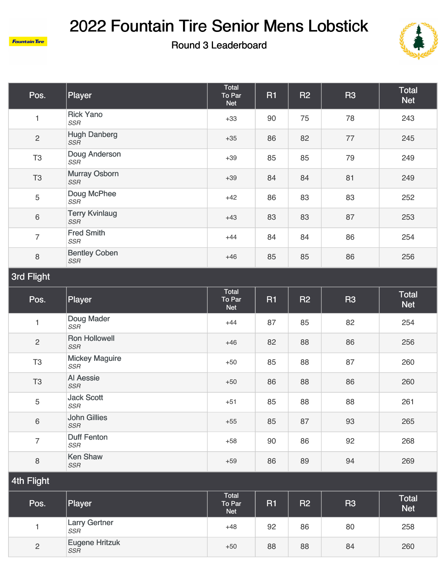



| Pos.                  | Player                              | Total<br>To Par<br><b>Net</b> | R <sub>1</sub> | R2 | <b>R3</b> | <b>Total</b><br><b>Net</b> |  |
|-----------------------|-------------------------------------|-------------------------------|----------------|----|-----------|----------------------------|--|
| $\mathbf{1}$          | <b>Rick Yano</b><br><b>SSR</b>      | $+33$                         | 90             | 75 | 78        | 243                        |  |
| $\overline{c}$        | <b>Hugh Danberg</b><br><b>SSR</b>   | $+35$                         | 86             | 82 | 77        | 245                        |  |
| T <sub>3</sub>        | Doug Anderson<br>SSR                | $+39$                         | 85             | 85 | 79        | 249                        |  |
| T <sub>3</sub>        | <b>Murray Osborn</b><br><b>SSR</b>  | $+39$                         | 84             | 84 | 81        | 249                        |  |
| 5                     | Doug McPhee<br><b>SSR</b>           | $+42$                         | 86             | 83 | 83        | 252                        |  |
| 6                     | <b>Terry Kvinlaug</b><br><b>SSR</b> | $+43$                         | 83             | 83 | 87        | 253                        |  |
| $\overline{7}$        | <b>Fred Smith</b><br><b>SSR</b>     | $+44$                         | 84             | 84 | 86        | 254                        |  |
| 8                     | <b>Bentley Coben</b><br>SSR         | $+46$                         | 85             | 85 | 86        | 256                        |  |
| 3rd Flight            |                                     |                               |                |    |           |                            |  |
| Pos.                  | Player                              | Total<br>To Par<br><b>Net</b> | R <sub>1</sub> | R2 | <b>R3</b> | <b>Total</b><br><b>Net</b> |  |
| 1                     | Doug Mader<br><b>SSR</b>            | $+44$                         | 87             | 85 | 82        | 254                        |  |
| $\overline{c}$        | Ron Hollowell<br><b>SSR</b>         | $+46$                         | 82             | 88 | 86        | 256                        |  |
| T <sub>3</sub>        | <b>Mickey Maguire</b><br><b>SSR</b> | $+50$                         | 85             | 88 | 87        | 260                        |  |
| T <sub>3</sub>        | <b>Al Aessie</b><br><b>SSR</b>      | $+50$                         | 86             | 88 | 86        | 260                        |  |
| 5                     | <b>Jack Scott</b><br><b>SSR</b>     | $+51$                         | 85             | 88 | 88        | 261                        |  |
| 6                     | <b>John Gillies</b><br>SSR          | $+55$                         | 85             | 87 | 93        | 265                        |  |
| $\overline{7}$        | <b>Duff Fenton</b><br>SSR           | $+58$                         | 90             | 86 | 92        | 268                        |  |
|                       |                                     |                               |                |    |           |                            |  |
| $\,8\,$<br>4th Flight | <b>Ken Shaw</b><br><b>SSR</b>       | $+59$                         | 86             | 89 | 94        | 269                        |  |

| Pos.           | Player                              | Total<br>To Par<br><b>Net</b> | <b>R1</b> | R <sub>2</sub> | R <sub>3</sub> | <b>Total</b><br><b>Net</b> |
|----------------|-------------------------------------|-------------------------------|-----------|----------------|----------------|----------------------------|
|                | <b>Larry Gertner</b><br><b>SSR</b>  | $+48$                         | 92        | 86             | 80             | 258                        |
| $\overline{c}$ | <b>Eugene Hritzuk</b><br><b>SSR</b> | $+50$                         | 88        | 88             | 84             | 260                        |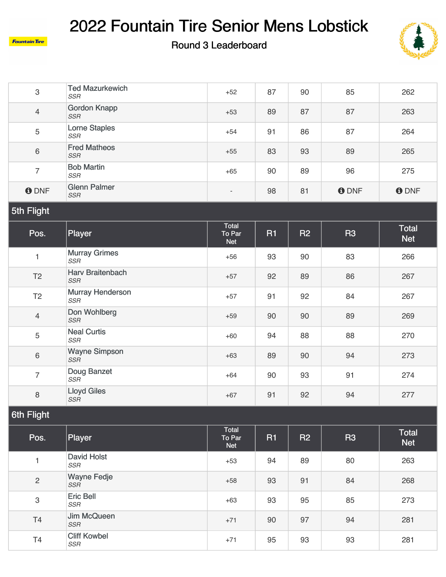**Fountain Tire** 



| $\,3$             | <b>Ted Mazurkewich</b><br><b>SSR</b>  | $+52$                         | 87        | 90 | 85             | 262                        |
|-------------------|---------------------------------------|-------------------------------|-----------|----|----------------|----------------------------|
| $\overline{4}$    | <b>Gordon Knapp</b><br><b>SSR</b>     | $+53$                         | 89        | 87 | 87             | 263                        |
| $\mathbf 5$       | <b>Lorne Staples</b><br><b>SSR</b>    | $+54$                         | 91        | 86 | 87             | 264                        |
| $\,6\,$           | <b>Fred Matheos</b><br><b>SSR</b>     | $+55$                         | 83        | 93 | 89             | 265                        |
| $\overline{7}$    | <b>Bob Martin</b><br><b>SSR</b>       | $+65$                         | 90        | 89 | 96             | 275                        |
| <b>O</b> DNF      | <b>Glenn Palmer</b><br><b>SSR</b>     | $\overline{\phantom{a}}$      | 98        | 81 | <b>ODNF</b>    | <b>ODNF</b>                |
| 5th Flight        |                                       |                               |           |    |                |                            |
| Pos.              | Player                                | Total<br>To Par<br><b>Net</b> | <b>R1</b> | R2 | <b>R3</b>      | <b>Total</b><br><b>Net</b> |
| $\mathbf{1}$      | <b>Murray Grimes</b><br><b>SSR</b>    | $+56$                         | 93        | 90 | 83             | 266                        |
| T <sub>2</sub>    | Harv Braitenbach<br><b>SSR</b>        | $+57$                         | 92        | 89 | 86             | 267                        |
| T <sub>2</sub>    | <b>Murray Henderson</b><br><b>SSR</b> | $+57$                         | 91        | 92 | 84             | 267                        |
| $\overline{4}$    | Don Wohlberg<br><b>SSR</b>            | $+59$                         | 90        | 90 | 89             | 269                        |
| 5                 | <b>Neal Curtis</b><br><b>SSR</b>      | $+60$                         | 94        | 88 | 88             | 270                        |
| $\,6\,$           | <b>Wayne Simpson</b><br><b>SSR</b>    | $+63$                         | 89        | 90 | 94             | 273                        |
| $\overline{7}$    | Doug Banzet<br><b>SSR</b>             | $+64$                         | 90        | 93 | 91             | 274                        |
| $\,8\,$           | <b>Lloyd Giles</b><br><b>SSR</b>      | $+67$                         | 91        | 92 | 94             | 277                        |
| <b>6th Flight</b> |                                       |                               |           |    |                |                            |
| Pos.              | Player                                | Total<br>To Par<br><b>Net</b> | <b>R1</b> | R2 | R <sub>3</sub> | <b>Total</b><br><b>Net</b> |
| $\mathbf{1}$      | <b>David Holst</b><br><b>SSR</b>      | $+53$                         | 94        | 89 | 80             | 263                        |
| $\mathbf{2}$      | <b>Wayne Fedje</b><br>SSR             | $+58$                         | 93        | 91 | 84             | 268                        |
| 3                 | Eric Bell<br>SSR                      | $+63$                         | 93        | 95 | 85             | 273                        |
| T <sub>4</sub>    | Jim McQueen<br>SSR                    | $+71$                         | 90        | 97 | 94             | 281                        |
| T4                | <b>Cliff Kowbel</b><br>$SSR$          | $+71$                         | 95        | 93 | 93             | 281                        |